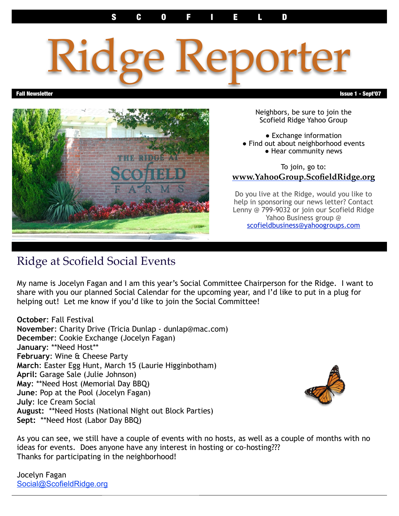# Ridge Reporter



Neighbors, be sure to join the Scofield Ridge Yahoo Group

● Exchange information

- Find out about neighborhood events
	- Hear community news

To join, go to: **www.YahooGroup.ScofieldRidge.org**

Do you live at the Ridge, would you like to help in sponsoring our news letter? Contact Lenny @ 799-9032 or join our Scofield Ridge Yahoo Business group @ [scofieldbusiness@yahoogroups.com](mailto:scofieldbusiness@yahoogroups.com)

# Ridge at Scofield Social Events

My name is Jocelyn Fagan and I am this year's Social Committee Chairperson for the Ridge. I want to share with you our planned Social Calendar for the upcoming year, and I'd like to put in a plug for helping out! Let me know if you'd like to join the Social Committee!

**October**: Fall Festival **November**: Charity Drive (Tricia Dunlap - dunlap@mac.com) **December**: Cookie Exchange (Jocelyn Fagan) **January**: \*\*Need Host\*\* **February**: Wine & Cheese Party **March**: Easter Egg Hunt, March 15 (Laurie Higginbotham) **April:** Garage Sale (Julie Johnson) **May**: \*\*Need Host (Memorial Day BBQ) **June**: Pop at the Pool (Jocelyn Fagan) **July**: Ice Cream Social **August:** \*\*Need Hosts (National Night out Block Parties) **Sept:** \*\*Need Host (Labor Day BBQ)



As you can see, we still have a couple of events with no hosts, as well as a couple of months with no ideas for events. Does anyone have any interest in hosting or co-hosting??? Thanks for participating in the neighborhood!

Jocelyn Fagan Social@ScofieldRidge.org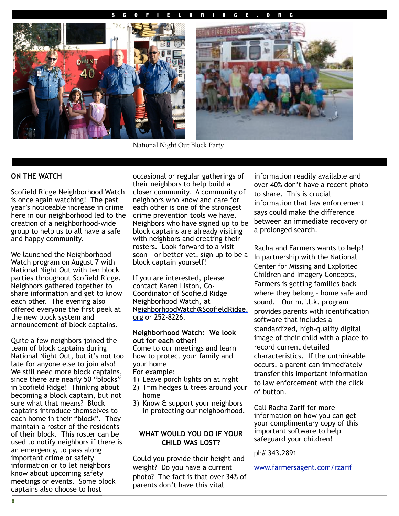#### S C O F I E L D R I D G E . O R G



National Night Out Block Party

#### **ON THE WATCH**

Scofield Ridge Neighborhood Watch is once again watching! The past year's noticeable increase in crime here in our neighborhood led to the creation of a neighborhood-wide group to help us to all have a safe and happy community.

We launched the Neighborhood Watch program on August 7 with National Night Out with ten block parties throughout Scofield Ridge. Neighbors gathered together to share information and get to know each other. The evening also offered everyone the first peek at the new block system and announcement of block captains.

Quite a few neighbors joined the team of block captains during National Night Out, but it's not too late for anyone else to join also! We still need more block captains, since there are nearly 50 "blocks" in Scofield Ridge! Thinking about becoming a block captain, but not sure what that means? Block captains introduce themselves to each home in their "block". They maintain a roster of the residents of their block. This roster can be used to notify neighbors if there is an emergency, to pass along important crime or safety information or to let neighbors know about upcoming safety meetings or events. Some block captains also choose to host

occasional or regular gatherings of their neighbors to help build a closer community. A community of neighbors who know and care for each other is one of the strongest crime prevention tools we have. Neighbors who have signed up to be block captains are already visiting with neighbors and creating their rosters. Look forward to a visit soon – or better yet, sign up to be a block captain yourself!

If you are interested, please contact Karen Liston, Co-Coordinator of Scofield Ridge Neighborhood Watch, at [NeighborhoodWatch@ScofieldRidge.](mailto:neighborhoodwatch@scofieldridge.org) [org](mailto:neighborhoodwatch@scofieldridge.org) or 252-8226.

#### **Neighborhood Watch: We look out for each other!**

Come to our meetings and learn how to protect your family and your home For example:

- 
- 1) Leave porch lights on at night
- 2) Trim hedges & trees around your home
- 3) Know & support your neighbors in protecting our neighborhood. --------------------------------------------

#### **WHAT WOULD YOU DO IF YOUR CHILD WAS LOST?**

Could you provide their height and weight? Do you have a current photo? The fact is that over 34% of parents don't have this vital

information readily available and over 40% don't have a recent photo to share. This is crucial information that law enforcement says could make the difference between an immediate recovery or a prolonged search.

Racha and Farmers wants to help! In partnership with the National Center for Missing and Exploited Children and Imagery Concepts, Farmers is getting families back where they belong – home safe and sound. Our m.i.l.k. program provides parents with identification software that includes a standardized, high-quality digital image of their child with a place to record current detailed characteristics. If the unthinkable occurs, a parent can immediately transfer this important information to law enforcement with the click of button.

Call Racha Zarif for more information on how you can get your complimentary copy of this important software to help safeguard your children!

ph# 343.2891

[www.farmersagent.com/rzarif](http://www.farmersagent.com/rzarif)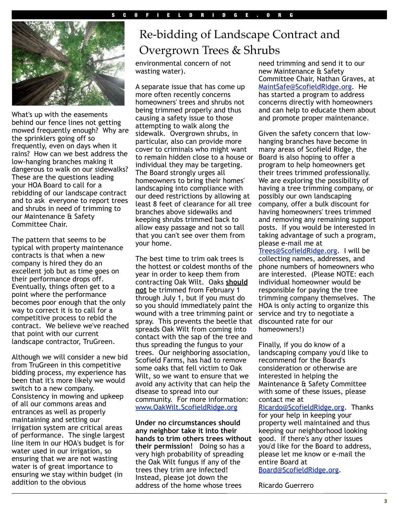

What's up with the easements behind our fence lines not getting mowed frequently enough? Why are the sprinklers going off so frequently, even on days when it rains? How can we best address the low-hanging branches making it dangerous to walk on our sidewalks? These are the questions leading your HOA Board to call for a rebidding of our landscape contract and to ask everyone to report trees and shrubs in need of trimming to our Maintenance & Safety Committee Chair.

The pattern that seems to be typical with property maintenance contracts is that when a new company is hired they do an excellent job but as time goes on their performance drops off. Eventually, things often get to a point where the performance becomes poor enough that the only way to correct it is to call for a competitive process to rebid the contract. We believe we've reached that point with our current landscape contractor, TruGreen.

Although we will consider a new bid from TruGreen in this competitive bidding process, my experience has been that it's more likely we would switch to a new company. Consistency in mowing and upkeep of all our commons areas and entrances as well as properly maintaining and setting our irrigation system are critical areas of performance. The single largest line item in our HOA's budget is for water used in our irrigation, so ensuring that we are not wasting water is of great importance to ensuring we stay within budget (in addition to the obvious

# Re-bidding of Landscape Contract and Overgrown Trees & Shrubs

environmental concern of not wasting water).

A separate issue that has come up more often recently concerns homeowners' trees and shrubs not being trimmed properly and thus causing a safety issue to those attempting to walk along the sidewalk. Overgrown shrubs, in particular, also can provide more cover to criminals who might want to remain hidden close to a house or individual they may be targeting. The Board strongly urges all homeowners to bring their homes' landscaping into compliance with our deed restrictions by allowing at least 8 feet of clearance for all tree branches above sidewalks and keeping shrubs trimmed back to allow easy passage and not so tall that you can't see over them from your home.

The best time to trim oak trees is the hottest or coldest months of the year in order to keep them from contracting Oak Wilt. Oaks **should not** be trimmed from February 1 through July 1, but if you must do so you should immediately paint the wound with a tree trimming paint or spray. This prevents the beetle that spreads Oak Wilt from coming into contact with the sap of the tree and thus spreading the fungus to your trees. Our neighboring association, Scofield Farms, has had to remove some oaks that fell victim to Oak Wilt, so we want to ensure that we avoid any activity that can help the disease to spread into our community. For more information: [www.OakWilt.ScofieldRidge.org](http://OakWilt.ScofieldRidge.org/)

**Under no circumstances should any neighbor take it into their hands to trim others trees without their permission!** Doing so has a very high probability of spreading the Oak Wilt fungus if any of the trees they trim are infected! Instead, please jot down the address of the home whose trees

need trimming and send it to our new Maintenance & Safety Committee Chair, Nathan Graves, at MaintSafe@ScofieldRidge.org. He has started a program to address concerns directly with homeowners and can help to educate them about and promote proper maintenance.

Given the safety concern that lowhanging branches have become in many areas of Scofield Ridge, the Board is also hoping to offer a program to help homeowners get their trees trimmed professionally. We are exploring the possibility of having a tree trimming company, or possibly our own landscaping company, offer a bulk discount for having homeowners' trees trimmed and removing any remaining support posts. If you would be interested in taking advantage of such a program, please e-mail me at

[Trees@ScofieldRidge.org.](mailto:Trees@ScofieldRidge.org) I will be collecting names, addresses, and phone numbers of homeowners who are interested. (Please NOTE: each individual homeowner would be responsible for paying the tree trimming company themselves. The HOA is only acting to organize this service and try to negotiate a discounted rate for our homeowners!)

Finally, if you do know of a landscaping company you'd like to recommend for the Board's consideration or otherwise are interested in helping the Maintenance & Safety Committee with some of these issues, please contact me at

[Ricardo@ScofieldRidge.org.](mailto:Ricardo@ScofieldRidge.org) Thanks for your help in keeping your property well maintained and thus keeping our neighborhood looking good. If there's any other issues you'd like for the Board to address, please let me know or e-mail the entire Board at [Board@ScofieldRidge.org.](mailto:Board@ScofieldRidge.org)

Ricardo Guerrero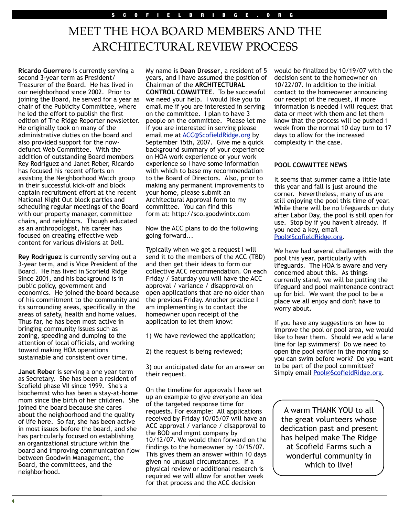# MEET THE HOA BOARD MEMBERS AND THE ARCHITECTURAL REVIEW PROCESS

**Ricardo Guerrero** is currently serving a second 3-year term as President/ Treasurer of the Board. He has lived in our neighborhood since 2002. Prior to joining the Board, he served for a year as chair of the Publicity Committee, where he led the effort to publish the first edition of The Ridge Reporter newsletter. He originally took on many of the administrative duties on the board and also provided support for the nowdefunct Web Committee. With the addition of outstanding Board members Rey Rodriguez and Janet Reber, Ricardo has focused his recent efforts on assisting the Neighborhood Watch group in their successful kick-off and block captain recruitment effort at the recent National Night Out block parties and scheduling regular meetings of the Board with our property manager, committee chairs, and neighbors. Though educated as an anthropologist, his career has focused on creating effective web content for various divisions at Dell.

**Rey Rodriguez** is currently serving out a 3-year term, and is Vice President of the Board. He has lived in Scofield Ridge Since 2001, and his background is in public policy, government and economics. He joined the board because of his commitment to the community and its surrounding areas, specifically in the areas of safety, health and home values. Thus far, he has been most active in bringing community issues such as zoning, speeding and dumping to the attention of local officials, and working toward making HOA operations sustainable and consistent over time.

**Janet Reber** is serving a one year term as Secretary. She has been a resident of Scofield phase VII since 1999. She's a biochemist who has been a stay-at-home mom since the birth of her children. She joined the board because she cares about the neighborhood and the quality of life here. So far, she has been active in most issues before the board, and she has particularly focused on establishing an organizational structure within the board and improving communication flow between Goodwin Management, the Board, the committees, and the neighborhood.

My name is **Dean Dresser**, a resident of 5 years, and I have assumed the position of Chairman of the **ARCHITECTURAL CONTROL COMMITTEE**. To be successful we need your help. I would like you to email me if you are interested in serving on the committee. I plan to have 3 people on the committee. Please let me if you are interested in serving please email me at [ACC@ScofieldRidge.org](mailto:ACC@ScofieldRidge.org) by September 15th, 2007. Give me a quick background summary of your experience on HOA work experience or your work experience so I have some information with which to base my recommendation to the Board of Directors. Also, prior to making any permanent improvements to your home, please submit an Architectural Approval form to my committee. You can find this form at: [http://sco.goodwintx.com](http://sco.goodwintx.com/)

Now the ACC plans to do the following going forward...

Typically when we get a request I will send it to the members of the ACC (TBD) and then get their ideas to form our collective ACC recommendation. On each Friday / Saturday you will have the ACC approval / variance / disapproval on open applications that are no older than the previous Friday. Another practice I am implementing is to contact the homeowner upon receipt of the application to let them know:

1) We have reviewed the application;

2) the request is being reviewed;

3) our anticipated date for an answer on their request.

On the timeline for approvals I have set up an example to give everyone an idea of the targeted response time for requests. For example: All applications received by Friday 10/05/07 will have an ACC approval / variance / disapproval to the BOD and mgmt company by 10/12/07. We would then forward on the findings to the homeowner by 10/15/07. This gives them an answer within 10 days given no unusual circumstances. If a physical review or additional research is required we will allow for another week for that process and the ACC decision

would be finalized by 10/19/07 with the decision sent to the homeowner on 10/22/07. In addition to the initial contact to the homeowner announcing our receipt of the request, if more information is needed I will request that data or meet with them and let them know that the process will be pushed 1 week from the normal 10 day turn to 17 days to allow for the increased complexity in the case.

#### **POOL COMMITTEE NEWS**

It seems that summer came a little late this year and fall is just around the corner. Nevertheless, many of us are still enjoying the pool this time of year. While there will be no lifeguards on duty after Labor Day, the pool is still open for use. Stop by if you haven't already. If you need a key, emai[l](mailto:pool@scofieldridge.org) [Pool@ScofieldRidge.org.](mailto:pool@scofieldridge.org)

We have had several challenges with the pool this year, particularly with lifeguards. The HOA is aware and very concerned about this. As things currently stand, we will be putting the lifeguard and pool maintenance contract up for bid. We want the pool to be a place we all enjoy and don't have to worry about.

If you have any suggestions on how to improve the pool or pool area, we would like to hear them. Should we add a lane line for lap swimmers? Do we need to open the pool earlier in the morning so you can swim before work? Do you want to be part of the pool committee? Simply email [Pool@ScofieldRidge.org.](mailto:pool@scofieldridge.org)

A warm THANK YOU to all the great volunteers whose dedication past and present has helped make The Ridge at Scofield Farms such a wonderful community in which to live!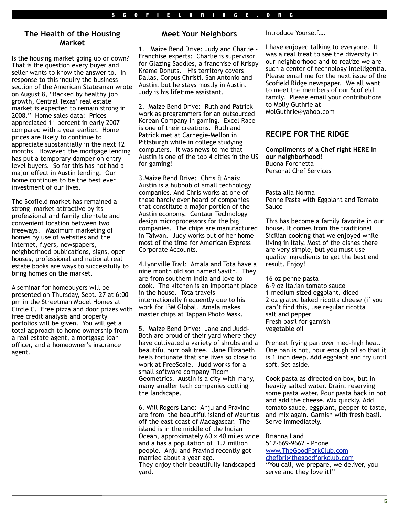#### **The Health of the Housing Market**

Is the housing market going up or down? That is the question every buyer and seller wants to know the answer to. In response to this inquiry the business section of the American Statesman wrote on August 8, "Backed by healthy job growth, Central Texas' real estate market is expected to remain strong in 2008." Home sales data: Prices appreciated 11 percent in early 2007 compared with a year earlier. Home prices are likely to continue to appreciate substantially in the next 12 months. However, the mortgage lending has put a temporary damper on entry level buyers. So far this has not had a major effect in Austin lending. Our home continues to be the best ever investment of our lives.

The Scofield market has remained a strong market attractive by its professional and family clientele and convenient location between two freeways. Maximum marketing of homes by use of websites and the internet, flyers, newspapers, neighborhood publications, signs, open houses, professional and national real estate books are ways to successfully to bring homes on the market.

A seminar for homebuyers will be presented on Thursday, Sept. 27 at 6:00 pm in the Streetman Model Homes at Circle C. Free pizza and door prizes with free credit analysis and property porfolios will be given. You will get a total approach to home ownership from a real estate agent, a mortgage loan officer, and a homeowner's insurance agent.

#### **Meet Your Neighbors**

1. Maize Bend Drive: Judy and Charlie - Franchise experts: Charlie is supervisor for Glazing Saddles, a franchise of Krispy Kreme Donuts. His territory covers Dallas, Corpus Christi, San Antonio and Austin, but he stays mostly in Austin. Judy is his lifetime assistant.

2. Maize Bend Drive: Ruth and Patrick work as programmers for an outsourced Korean Company in gaming. Excel Race is one of their creations. Ruth and Patrick met at Carnegie-Mellon in Pittsburgh while in college studying computers. It was news to me that Austin is one of the top 4 cities in the US for gaming!

3.Maize Bend Drive: Chris & Anais: Austin is a hubbub of small technology companies. And Chris works at one of these hardly ever heard of companies that constitute a major portion of the Austin economy. Centaur Technology design microprocessors for the big companies. The chips are manufactured in Taiwan. Judy works out of her home most of the time for American Express Corporate Accounts.

4.Lynnville Trail: Amala and Tota have a nine month old son named Savith. They are from southern India and love to cook. The kitchen is an important place in the house. Tota travels internationally frequently due to his work for IBM Global. Amala makes master chips at Tappan Photo Mask.

5. Maize Bend Drive: Jane and Judd-Both are proud of their yard where they have cultivated a variety of shrubs and a beautiful burr oak tree. Jane Elizabeth feels fortunate that she lives so close to work at FreeScale. Judd works for a small software company Ticom Geometrics. Austin is a city with many, many smaller tech companies dotting the landscape.

6. Will Rogers Lane: Anju and Pravind are from the beautiful island of Mauritus off the east coast of Madagascar. The island is in the middle of the Indian Ocean, approximately 60 x 40 miles wide and a has a population of 1.2 million people. Anju and Pravind recently got married about a year ago. They enjoy their beautifully landscaped yard.

Introduce Yourself….

I have enjoyed talking to everyone. It was a real treat to see the diversity in our neighborhood and to realize we are such a center of technology intelligentia. Please email me for the next issue of the Scofield Ridge newspaper. We all want to meet the members of our Scofield family. Please email your contributions to Molly Guthrie at [MolGuthrie@yahoo.com](mailto:MolGuthrie@yahoo.com) 

#### **RECIPE FOR THE RIDGE**

**Compliments of a Chef right HERE in our neighborhood!** Buona Forchetta Personal Chef Services

Pasta alla Norma Penne Pasta with Eggplant and Tomato Sauce

This has become a family favorite in our house. It comes from the traditional Sicilian cooking that we enjoyed while living in Italy. Most of the dishes there are very simple, but you must use quality ingredients to get the best end result. Enjoy!

16 oz penne pasta 6-9 oz Italian tomato sauce 1 medium sized eggplant, diced 2 oz grated baked ricotta cheese (if you can't find this, use regular ricotta salt and pepper Fresh basil for garnish vegetable oil

Preheat frying pan over med-high heat. One pan is hot, pour enough oil so that it is 1 inch deep. Add eggplant and fry until soft. Set aside.

Cook pasta as directed on box, but in heavily salted water. Drain, reserving some pasta water. Pour pasta back in pot and add the cheese. Mix quickly. Add tomato sauce, eggplant, pepper to taste, and mix again. Garnish with fresh basil. Serve immediately.

Brianna Land

512-669-9662 - Phone [www.TheGoodForkClub.com](http://www.TheGoodForkClub.com) [chefbri@thegoodforkclub.com](mailto:chefbri@thegoodforkclub.com) "You call, we prepare, we deliver, you serve and they love it!"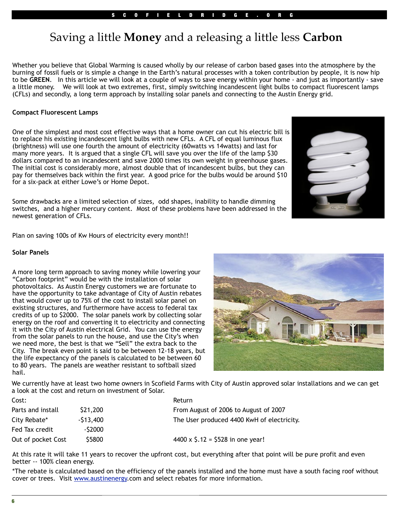# Saving a little **Money** and a releasing a little less **Carbon**

Whether you believe that Global Warming is caused wholly by our release of carbon based gases into the atmosphere by the burning of fossil fuels or is simple a change in the Earth's natural processes with a token contribution by people, it is now hip to be **GREEN**. In this article we will look at a couple of ways to save energy within your home - and just as importantly - save a little money. We will look at two extremes, first, simply switching incandescent light bulbs to compact fluorescent lamps (CFLs) and secondly, a long term approach by installing solar panels and connecting to the Austin Energy grid.

#### **Compact Fluorescent Lamps**

One of the simplest and most cost effective ways that a home owner can cut his electric bill is to replace his existing incandescent light bulbs with new CFLs. A CFL of equal luminous flux (brightness) will use one fourth the amount of electricity (60watts vs 14watts) and last for many more years. It is argued that a single CFL will save you over the life of the lamp \$30 dollars compared to an incandescent and save 2000 times its own weight in greenhouse gases. The initial cost is considerably more, almost double that of incandescent bulbs, but they can pay for themselves back within the first year. A good price for the bulbs would be around \$10 for a six-pack at either Lowe's or Home Depot.

Some drawbacks are a limited selection of sizes, odd shapes, inability to handle dimming switches, and a higher mercury content. Most of these problems have been addressed in the newest generation of CFLs.

Plan on saving 100s of Kw Hours of electricity every month!!

#### **Solar Panels**

A more long term approach to saving money while lowering your "Carbon footprint" would be with the installation of solar photovoltaics. As Austin Energy customers we are fortunate to have the opportunity to take advantage of City of Austin rebates that would cover up to 75% of the cost to install solar panel on existing structures, and furthermore have access to federal tax credits of up to \$2000. The solar panels work by collecting solar energy on the roof and converting it to electricity and connecting it with the City of Austin electrical Grid. You can use the energy from the solar panels to run the house, and use the City's when we need more, the best is that we "Sell" the extra back to the City. The break even point is said to be between 12-18 years, but the life expectancy of the panels is calculated to be between 60 to 80 years. The panels are weather resistant to softball sized hail.



We currently have at least two home owners in Scofield Farms with City of Austin approved solar installations and we can get a look at the cost and return on investment of Solar.

| Cost:              |            | Return                                        |
|--------------------|------------|-----------------------------------------------|
| Parts and install  | \$21,200   | From August of 2006 to August of 2007         |
| City Rebate*       | $-513,400$ | The User produced 4400 KwH of electricity.    |
| Fed Tax credit     | -\$2000    |                                               |
| Out of pocket Cost | \$5800     | 4400 x $\frac{1}{2}$ .12 = \$528 in one year! |

At this rate it will take 11 years to recover the upfront cost, but everything after that point will be pure profit and even better -- 100% clean energy.

\*The rebate is calculated based on the efficiency of the panels installed and the home must have a south facing roof without cover or trees. Visit [www.austinenergy.](http://www.austinenergy)com and select rebates for more information.

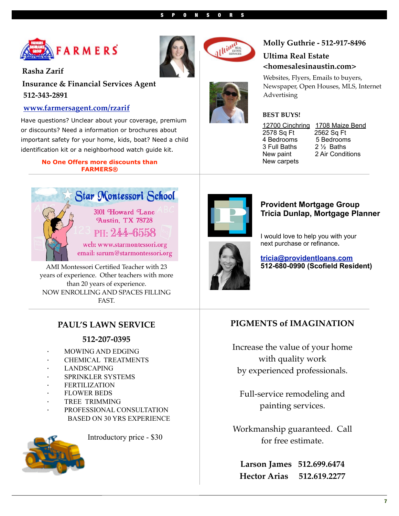

**Rasha Zarif**

**Insurance & Financial Services Agent 512-343-2891**

## **[www.farmersagent.com/rzarif](http://www.farmersagent.com/rzarif)**

Have questions? Unclear about your coverage, premium or discounts? Need a information or brochures about important safety for your home, kids, boat? Need a child identification kit or a neighborhood watch guide kit.

#### **No One Offers more discounts than FARMERS®**



AMI Montessori Certified Teacher with 23 years of experience. Other teachers with more than 20 years of experience. NOW ENROLLING AND SPACES FILLING FAST.

# **PAUL'S LAWN SERVICE**

### **512-207-0395**

- · MOWING AND EDGING
- · CHEMICAL TREATMENTS
- · LANDSCAPING
- · SPRINKLER SYSTEMS
- **FERTILIZATION**
- **FLOWER BEDS**
- TREE TRIMMING
- PROFESSIONAL CONSULTATION BASED ON 30 YRS EXPERIENCE



Introductory price - \$30







# **Molly Guthrie - 512-917-8496**

# **Ultima Real Estate <homesalesinaustin.com>**

Websites, Flyers, Emails to buyers, Newspaper, Open Houses, MLS, Internet Advertising

#### **BEST BUYS!**

2578 Sq Ft 2562 Sq Ft 4 Bedrooms 5 Bedroom<br>3 Full Baths 2 1/2 Baths 3 Full Baths New carpets

12700 Cinchring 1708 Maize Bend New paint 2 Air Conditions



## **Provident Mortgage Group Tricia Dunlap, Mortgage Planner**

I would love to help you with your next purchase or refinance**.**

**[tricia@providentloans.com](mailto:tricia@providentloans.com) 512-680-0990 (Scofield Resident)**

# **PIGMENTS of IMAGINATION**

Increase the value of your home with quality work by experienced professionals.

Full-service remodeling and painting services.

Workmanship guaranteed. Call for free estimate.

**Larson James 512.699.6474 Hector Arias 512.619.2277**